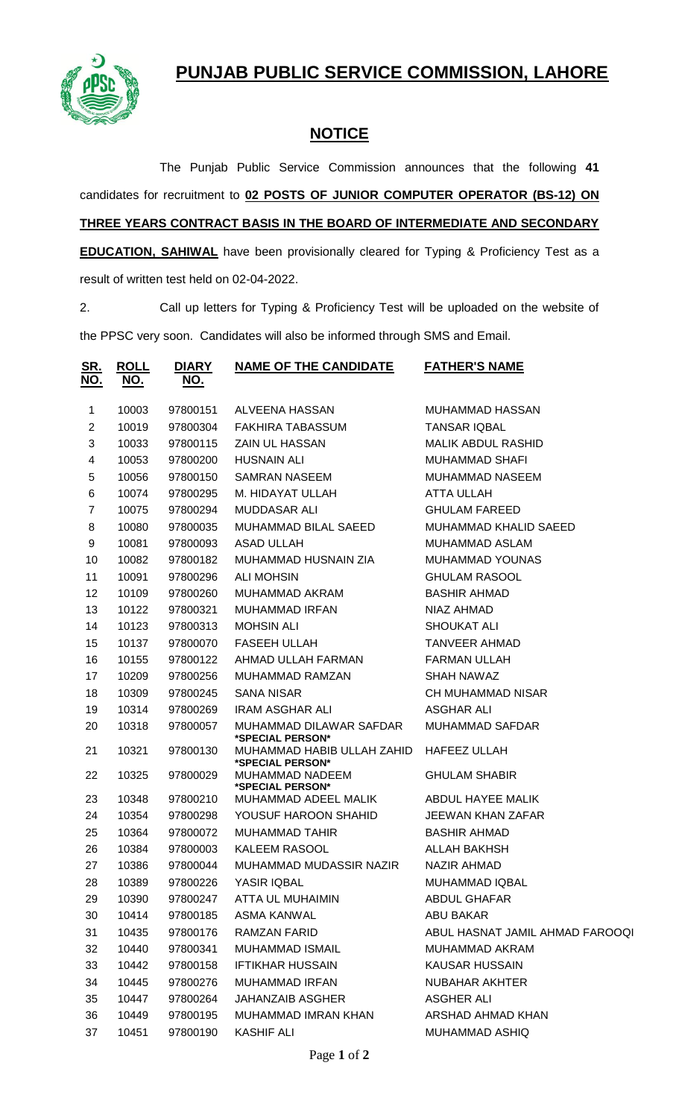**PUNJAB PUBLIC SERVICE COMMISSION, LAHORE**



## **NOTICE**

The Punjab Public Service Commission announces that the following **41** candidates for recruitment to **02 POSTS OF JUNIOR COMPUTER OPERATOR (BS-12) ON THREE YEARS CONTRACT BASIS IN THE BOARD OF INTERMEDIATE AND SECONDARY EDUCATION, SAHIWAL** have been provisionally cleared for Typing & Proficiency Test as a

result of written test held on 02-04-2022.

2. Call up letters for Typing & Proficiency Test will be uploaded on the website of the PPSC very soon. Candidates will also be informed through SMS and Email.

| <u>SR.</u><br><u>NO.</u> | <u>ROLL</u><br><u>NO.</u> | <b>DIARY</b><br><u>NO.</u> | <b>NAME OF THE CANDIDATE</b>                   | <b>FATHER'S NAME</b>            |
|--------------------------|---------------------------|----------------------------|------------------------------------------------|---------------------------------|
| $\mathbf 1$              | 10003                     | 97800151                   | ALVEENA HASSAN                                 | MUHAMMAD HASSAN                 |
| $\overline{2}$           | 10019                     | 97800304                   | <b>FAKHIRA TABASSUM</b>                        | <b>TANSAR IQBAL</b>             |
| 3                        | 10033                     | 97800115                   | <b>ZAIN UL HASSAN</b>                          | <b>MALIK ABDUL RASHID</b>       |
| 4                        | 10053                     | 97800200                   | <b>HUSNAIN ALI</b>                             | <b>MUHAMMAD SHAFI</b>           |
| 5                        | 10056                     | 97800150                   | SAMRAN NASEEM                                  | <b>MUHAMMAD NASEEM</b>          |
| 6                        | 10074                     | 97800295                   | M. HIDAYAT ULLAH                               | ATTA ULLAH                      |
| $\overline{7}$           | 10075                     | 97800294                   | <b>MUDDASAR ALI</b>                            | <b>GHULAM FAREED</b>            |
| 8                        | 10080                     | 97800035                   | MUHAMMAD BILAL SAEED                           | MUHAMMAD KHALID SAEED           |
| 9                        | 10081                     | 97800093                   | <b>ASAD ULLAH</b>                              | MUHAMMAD ASLAM                  |
| 10                       | 10082                     | 97800182                   | MUHAMMAD HUSNAIN ZIA                           | <b>MUHAMMAD YOUNAS</b>          |
| 11                       | 10091                     | 97800296                   | <b>ALI MOHSIN</b>                              | <b>GHULAM RASOOL</b>            |
| 12                       | 10109                     | 97800260                   | MUHAMMAD AKRAM                                 | <b>BASHIR AHMAD</b>             |
| 13                       | 10122                     | 97800321                   | <b>MUHAMMAD IRFAN</b>                          | NIAZ AHMAD                      |
| 14                       | 10123                     | 97800313                   | <b>MOHSIN ALI</b>                              | <b>SHOUKAT ALI</b>              |
| 15                       | 10137                     | 97800070                   | <b>FASEEH ULLAH</b>                            | <b>TANVEER AHMAD</b>            |
| 16                       | 10155                     | 97800122                   | AHMAD ULLAH FARMAN                             | <b>FARMAN ULLAH</b>             |
| 17                       | 10209                     | 97800256                   | MUHAMMAD RAMZAN                                | <b>SHAH NAWAZ</b>               |
| 18                       | 10309                     | 97800245                   | <b>SANA NISAR</b>                              | <b>CH MUHAMMAD NISAR</b>        |
| 19                       | 10314                     | 97800269                   | <b>IRAM ASGHAR ALI</b>                         | <b>ASGHAR ALI</b>               |
| 20                       | 10318                     | 97800057                   | MUHAMMAD DILAWAR SAFDAR<br>*SPECIAL PERSON*    | <b>MUHAMMAD SAFDAR</b>          |
| 21                       | 10321                     | 97800130                   | MUHAMMAD HABIB ULLAH ZAHID<br>*SPECIAL PERSON* | <b>HAFEEZ ULLAH</b>             |
| 22                       | 10325                     | 97800029                   | MUHAMMAD NADEEM<br>*SPECIAL PERSON*            | <b>GHULAM SHABIR</b>            |
| 23                       | 10348                     | 97800210                   | MUHAMMAD ADEEL MALIK                           | ABDUL HAYEE MALIK               |
| 24                       | 10354                     | 97800298                   | YOUSUF HAROON SHAHID                           | <b>JEEWAN KHAN ZAFAR</b>        |
| 25                       | 10364                     | 97800072                   | <b>MUHAMMAD TAHIR</b>                          | <b>BASHIR AHMAD</b>             |
| 26                       | 10384                     | 97800003                   | <b>KALEEM RASOOL</b>                           | <b>ALLAH BAKHSH</b>             |
| 27                       | 10386                     | 97800044                   | MUHAMMAD MUDASSIR NAZIR                        | <b>NAZIR AHMAD</b>              |
| 28                       | 10389                     | 97800226                   | YASIR IQBAL                                    | MUHAMMAD IQBAL                  |
| 29                       | 10390                     | 97800247                   | ATTA UL MUHAIMIN                               | ABDUL GHAFAR                    |
| 30                       | 10414                     | 97800185                   | <b>ASMA KANWAL</b>                             | <b>ABU BAKAR</b>                |
| 31                       | 10435                     | 97800176                   | RAMZAN FARID                                   | ABUL HASNAT JAMIL AHMAD FAROOQI |
| 32                       | 10440                     | 97800341                   | MUHAMMAD ISMAIL                                | MUHAMMAD AKRAM                  |
| 33                       | 10442                     | 97800158                   | <b>IFTIKHAR HUSSAIN</b>                        | KAUSAR HUSSAIN                  |
| 34                       | 10445                     | 97800276                   | <b>MUHAMMAD IRFAN</b>                          | <b>NUBAHAR AKHTER</b>           |
| 35                       | 10447                     | 97800264                   | <b>JAHANZAIB ASGHER</b>                        | <b>ASGHER ALI</b>               |
| 36                       | 10449                     | 97800195                   | MUHAMMAD IMRAN KHAN                            | ARSHAD AHMAD KHAN               |
| 37                       | 10451                     | 97800190                   | <b>KASHIF ALI</b>                              | MUHAMMAD ASHIQ                  |
|                          |                           |                            |                                                |                                 |